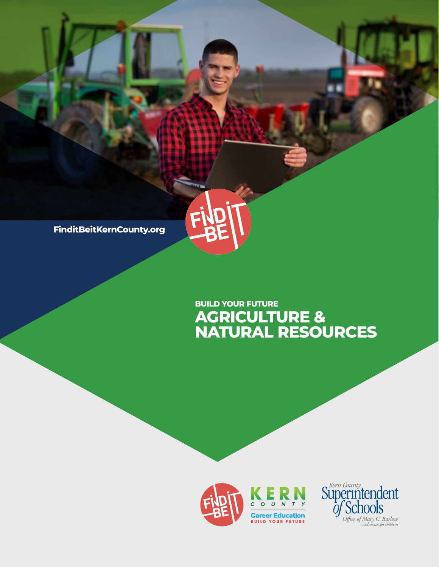**FinditBeitKernCounty.org**

# **AGRICULTURE & NATURAL RESOURCES BUILD YOUR FUTURE**